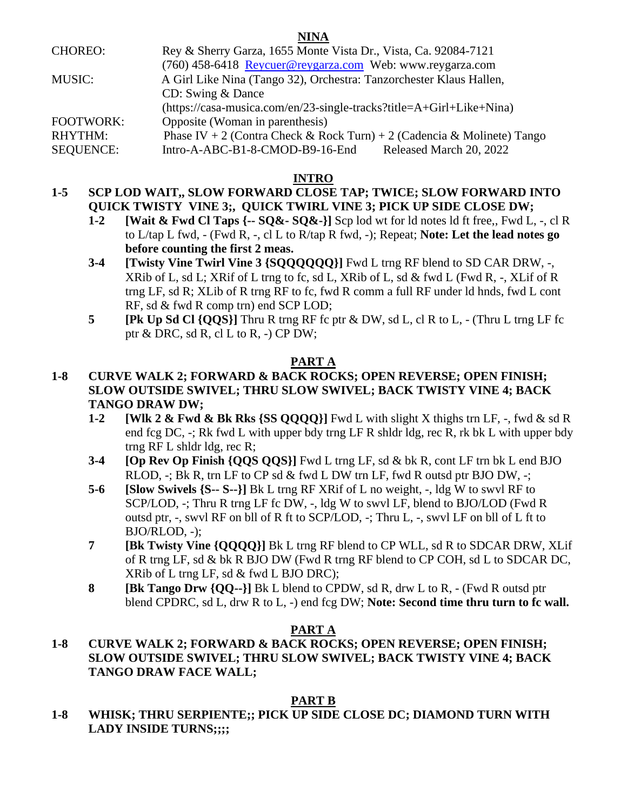| <b>CHOREO:</b>   | Rey & Sherry Garza, 1655 Monte Vista Dr., Vista, Ca. 92084-7121         |
|------------------|-------------------------------------------------------------------------|
|                  | (760) 458-6418 Reycuer@reygarza.com Web: www.reygarza.com               |
| <b>MUSIC:</b>    | A Girl Like Nina (Tango 32), Orchestra: Tanzorchester Klaus Hallen,     |
|                  | CD: Swing & Dance                                                       |
|                  | (https://casa-musica.com/en/23-single-tracks?title=A+Girl+Like+Nina)    |
| <b>FOOTWORK:</b> | Opposite (Woman in parenthesis)                                         |
| <b>RHYTHM:</b>   | Phase IV + 2 (Contra Check & Rock Turn) + 2 (Cadencia & Molinete) Tango |
| <b>SEQUENCE:</b> | Released March 20, 2022<br>Intro-A-ABC-B1-8-CMOD-B9-16-End              |
|                  |                                                                         |

## **INTRO**

# **1-5 SCP LOD WAIT,, SLOW FORWARD CLOSE TAP; TWICE; SLOW FORWARD INTO QUICK TWISTY VINE 3;, QUICK TWIRL VINE 3; PICK UP SIDE CLOSE DW;**

- **1-2 [Wait & Fwd Cl Taps {-- SQ&- SQ&-}]** Scp lod wt for ld notes ld ft free,, Fwd L, -, cl R to L/tap L fwd, - (Fwd R, -, cl L to R/tap R fwd, -); Repeat; **Note: Let the lead notes go before counting the first 2 meas.**
- **3-4 [Twisty Vine Twirl Vine 3 {SQQQQQQ}]** Fwd L trng RF blend to SD CAR DRW, -, XRib of L, sd L; XRif of L trng to fc, sd L, XRib of L, sd & fwd L (Fwd R, -, XLif of R trng LF, sd R; XLib of R trng RF to fc, fwd R comm a full RF under ld hnds, fwd L cont RF, sd & fwd R comp trn) end SCP LOD;
- **5 [Pk Up Sd Cl {QQS}]** Thru R trng RF fc ptr & DW, sd L, cl R to L, (Thru L trng LF fc ptr & DRC, sd R, cl L to R, -) CP DW;

# **PART A**

## **1-8 CURVE WALK 2; FORWARD & BACK ROCKS; OPEN REVERSE; OPEN FINISH; SLOW OUTSIDE SWIVEL; THRU SLOW SWIVEL; BACK TWISTY VINE 4; BACK TANGO DRAW DW;**

- **1-2 [Wlk 2 & Fwd & Bk Rks {SS QQQQ}]** Fwd L with slight X thighs trn LF, -, fwd & sd R end fcg DC, -; Rk fwd L with upper bdy trng LF R shldr ldg, rec R, rk bk L with upper bdy trng RF L shldr ldg, rec R;
- **3-4 [Op Rev Op Finish {QQS QQS}]** Fwd L trng LF, sd & bk R, cont LF trn bk L end BJO RLOD, -; Bk R, trn LF to CP sd & fwd L DW trn LF, fwd R outsd ptr BJO DW, -;
- **5-6 [Slow Swivels {S-- S--}]** Bk L trng RF XRif of L no weight, -, ldg W to swvl RF to SCP/LOD, -; Thru R trng LF fc DW, -, ldg W to swvl LF, blend to BJO/LOD (Fwd R outsd ptr, -, swvl RF on bll of R ft to SCP/LOD, -; Thru L, -, swvl LF on bll of L ft to BJO/RLOD, -);
- **7 [Bk Twisty Vine {QQQQ}]** Bk L trng RF blend to CP WLL, sd R to SDCAR DRW, XLif of R trng LF, sd & bk R BJO DW (Fwd R trng RF blend to CP COH, sd L to SDCAR DC, XRib of L trng LF, sd & fwd L BJO DRC);
- **8 [Bk Tango Drw {QQ--}]** Bk L blend to CPDW, sd R, drw L to R, (Fwd R outsd ptr blend CPDRC, sd L, drw R to L, -) end fcg DW; **Note: Second time thru turn to fc wall.**

## **PART A**

# **1-8 CURVE WALK 2; FORWARD & BACK ROCKS; OPEN REVERSE; OPEN FINISH; SLOW OUTSIDE SWIVEL; THRU SLOW SWIVEL; BACK TWISTY VINE 4; BACK TANGO DRAW FACE WALL;**

## **PART B**

**1-8 WHISK; THRU SERPIENTE;; PICK UP SIDE CLOSE DC; DIAMOND TURN WITH LADY INSIDE TURNS;;;;**

### **NINA**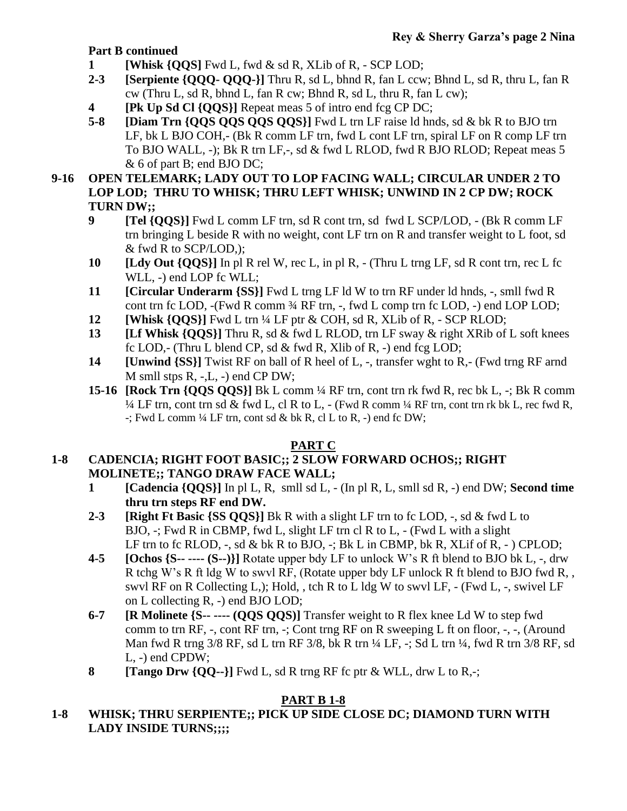## **Part B continued**

- **1 [Whisk {QQS]** Fwd L, fwd & sd R, XLib of R, SCP LOD;
- **2-3 [Serpiente {QQQ- QQQ-}]** Thru R, sd L, bhnd R, fan L ccw; Bhnd L, sd R, thru L, fan R cw (Thru L, sd R, bhnd L, fan R cw; Bhnd R, sd L, thru R, fan L cw);
- **4 [Pk Up Sd Cl {QQS}]** Repeat meas 5 of intro end fcg CP DC;
- **5-8 [Diam Trn {QQS QQS QQS QQS}]** Fwd L trn LF raise ld hnds, sd & bk R to BJO trn LF, bk L BJO COH,- (Bk R comm LF trn, fwd L cont LF trn, spiral LF on R comp LF trn To BJO WALL, -); Bk R trn LF,-, sd & fwd L RLOD, fwd R BJO RLOD; Repeat meas 5 & 6 of part B; end BJO DC;

## **9-16 OPEN TELEMARK; LADY OUT TO LOP FACING WALL; CIRCULAR UNDER 2 TO LOP LOD; THRU TO WHISK; THRU LEFT WHISK; UNWIND IN 2 CP DW; ROCK TURN DW;;**

- **9 [Tel {QQS}]** Fwd L comm LF trn, sd R cont trn, sd fwd L SCP/LOD, (Bk R comm LF trn bringing L beside R with no weight, cont LF trn on R and transfer weight to L foot, sd & fwd R to SCP/LOD,);
- **10 [Ldy Out {QQS}]** In pl R rel W, rec L, in pl R, (Thru L trng LF, sd R cont trn, rec L fc WLL, -) end LOP fc WLL;
- **11 [Circular Underarm {SS}]** Fwd L trng LF ld W to trn RF under ld hnds, -, smll fwd R cont trn fc LOD, -(Fwd R comm ¾ RF trn, -, fwd L comp trn fc LOD, -) end LOP LOD;
- **12 [Whisk {QQS}]** Fwd L trn ¼ LF ptr & COH, sd R, XLib of R, SCP RLOD;
- **13 [Lf Whisk {QQS}]** Thru R, sd & fwd L RLOD, trn LF sway & right XRib of L soft knees fc LOD,- (Thru L blend CP, sd  $\&$  fwd R, Xlib of R, -) end fcg LOD;
- **14 [Unwind {SS}]** Twist RF on ball of R heel of L, -, transfer wght to R,- (Fwd trng RF arnd M smll stps R, -,L, -) end CP DW;
- **15-16 [Rock Trn {QQS QQS}]** Bk L comm ¼ RF trn, cont trn rk fwd R, rec bk L, -; Bk R comm  $\frac{1}{4}$  LF trn, cont trn sd & fwd L, cl R to L, - (Fwd R comm  $\frac{1}{4}$  RF trn, cont trn rk bk L, rec fwd R, -; Fwd L comm ¼ LF trn, cont sd & bk R, cl L to R, -) end fc DW;

# **PART C**

# **1-8 CADENCIA; RIGHT FOOT BASIC;; 2 SLOW FORWARD OCHOS;; RIGHT MOLINETE;; TANGO DRAW FACE WALL;**

- **1 [Cadencia {QQS}]** In pl L, R, smll sd L, (In pl R, L, smll sd R, -) end DW; **Second time thru trn steps RF end DW.**
- **2-3 [Right Ft Basic {SS QQS}]** Bk R with a slight LF trn to fc LOD, -, sd & fwd L to BJO, -; Fwd R in CBMP, fwd L, slight LF trn cl R to L, - (Fwd L with a slight LF trn to fc RLOD,  $-$ , sd & bk R to BJO,  $-$ ; Bk L in CBMP, bk R, XLif of R,  $-$ ) CPLOD;
- **4-5 [Ochos {S-- ---- (S--)}]** Rotate upper bdy LF to unlock W's R ft blend to BJO bk L, -, drw R tchg W's R ft ldg W to swvl RF, (Rotate upper bdy LF unlock R ft blend to BJO fwd R, , swvl RF on R Collecting L,); Hold, , tch R to L ldg W to swvl LF, - (Fwd L, -, swivel LF on L collecting R, -) end BJO LOD;
- **6-7 [R Molinete {S-- ---- (QQS QQS)]** Transfer weight to R flex knee Ld W to step fwd comm to trn RF, -, cont RF trn, -; Cont trng RF on R sweeping L ft on floor, -, -, (Around Man fwd R trng 3/8 RF, sd L trn RF 3/8, bk R trn ¼ LF, -; Sd L trn ¼, fwd R trn 3/8 RF, sd L, -) end CPDW;
- **8 [Tango Drw {QQ--}]** Fwd L, sd R trng RF fc ptr & WLL, drw L to R,-;

# **PART B 1-8**

**1-8 WHISK; THRU SERPIENTE;; PICK UP SIDE CLOSE DC; DIAMOND TURN WITH LADY INSIDE TURNS;;;;**